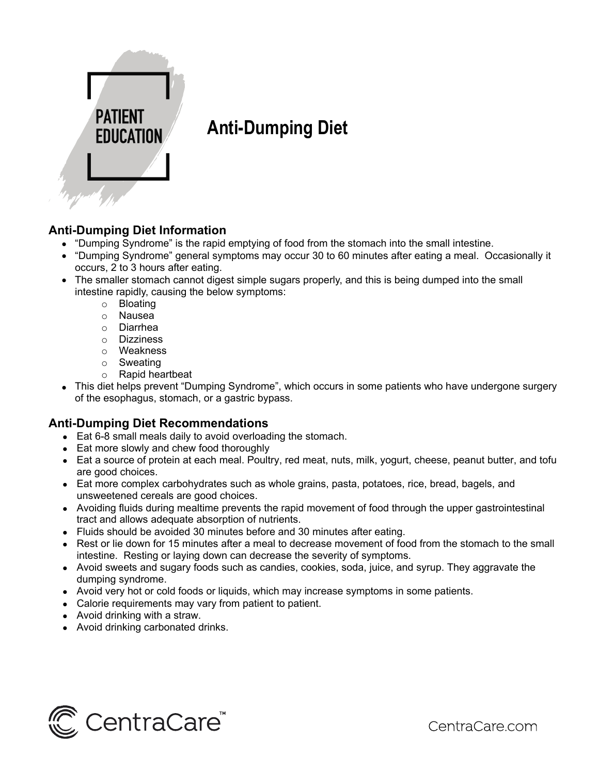

# **Anti-Dumping Diet**

## **Anti-Dumping Diet Information**

- "Dumping Syndrome" is the rapid emptying of food from the stomach into the small intestine.
- "Dumping Syndrome" general symptoms may occur 30 to 60 minutes after eating a meal. Occasionally it occurs, 2 to 3 hours after eating.
- The smaller stomach cannot digest simple sugars properly, and this is being dumped into the small intestine rapidly, causing the below symptoms:
	- o Bloating
	- o Nausea
	- o Diarrhea
	- o Dizziness
	- o Weakness
	- o Sweating
	- o Rapid heartbeat
- This diet helps prevent "Dumping Syndrome", which occurs in some patients who have undergone surgery of the esophagus, stomach, or a gastric bypass.

### **Anti-Dumping Diet Recommendations**

- Eat 6-8 small meals daily to avoid overloading the stomach.
- Eat more slowly and chew food thoroughly
- Eat a source of protein at each meal. Poultry, red meat, nuts, milk, yogurt, cheese, peanut butter, and tofu are good choices.
- Eat more complex carbohydrates such as whole grains, pasta, potatoes, rice, bread, bagels, and unsweetened cereals are good choices.
- Avoiding fluids during mealtime prevents the rapid movement of food through the upper gastrointestinal tract and allows adequate absorption of nutrients.
- Fluids should be avoided 30 minutes before and 30 minutes after eating.
- Rest or lie down for 15 minutes after a meal to decrease movement of food from the stomach to the small intestine. Resting or laying down can decrease the severity of symptoms.
- Avoid sweets and sugary foods such as candies, cookies, soda, juice, and syrup. They aggravate the dumping syndrome.
- Avoid very hot or cold foods or liquids, which may increase symptoms in some patients.
- Calorie requirements may vary from patient to patient.
- Avoid drinking with a straw.
- Avoid drinking carbonated drinks.



CentraCare.com